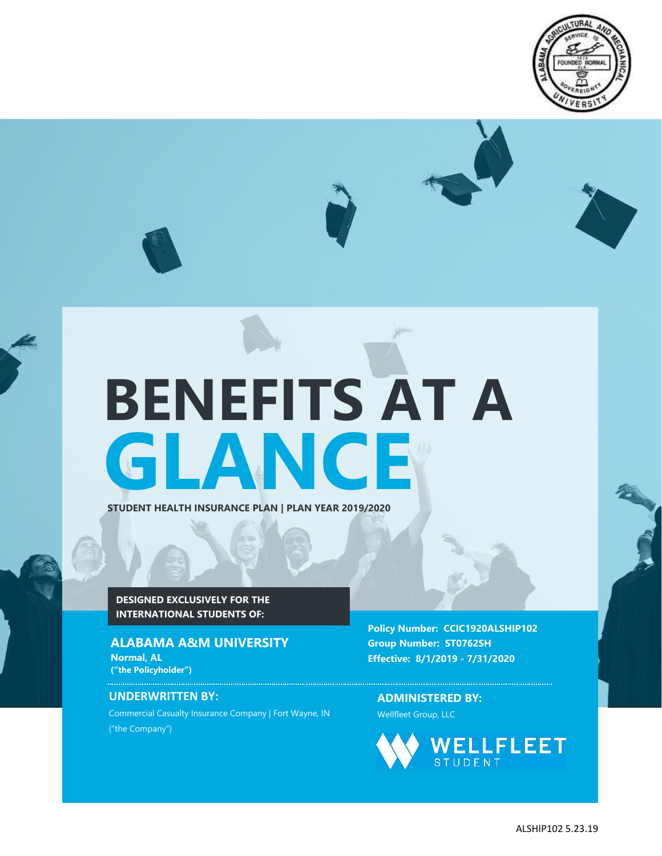

# **GLANCE BENEFITS AT A**

**STUDENT HEALTH INSURANCE PLAN | PLAN YEAR 2019/2020**

**DESIGNED EXCLUSIVELY FOR THE INTERNATIONAL STUDENTS OF:**

## **ALABAMA A&M UNIVERSITY**

**Normal, AL ("the Policyholder")**

**CCIC** 

## **UNDERWRITTEN BY:**

Commercial Casualty Insurance Company | Fort Wayne, IN ("the Company")

**Policy Number: CCIC1920ALSHIP102 Group Number: ST0762SH Effective: 8/1/2019 - 7/31/2020**

**ADMINISTERED BY:** Wellfleet Group, LLC

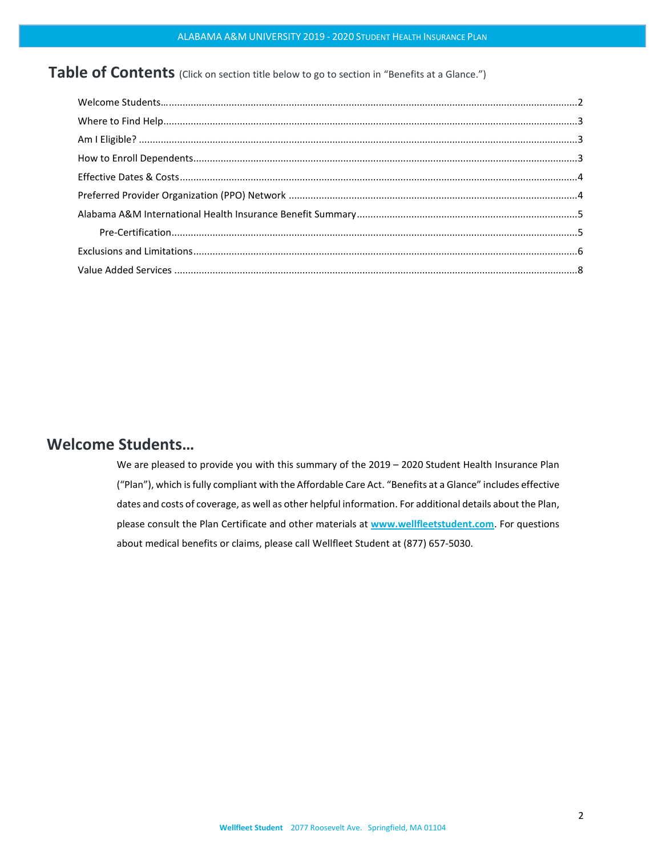# Table of Contents (Click on section title below to go to section in "Benefits at a Glance.")

# <span id="page-1-0"></span>**Welcome Students…**

We are pleased to provide you with this summary of the 2019 – 2020 Student Health Insurance Plan ("Plan"), which is fully compliant with the Affordable Care Act. "Benefits at a Glance" includes effective dates and costs of coverage, as well as other helpful information. For additional details about the Plan, please consult the Plan Certificate and other materials at **[www.wellfleetstudent.com](http://www.chpstudenthealth.com/)**. For questions about medical benefits or claims, please call Wellfleet Student at (877) 657-5030.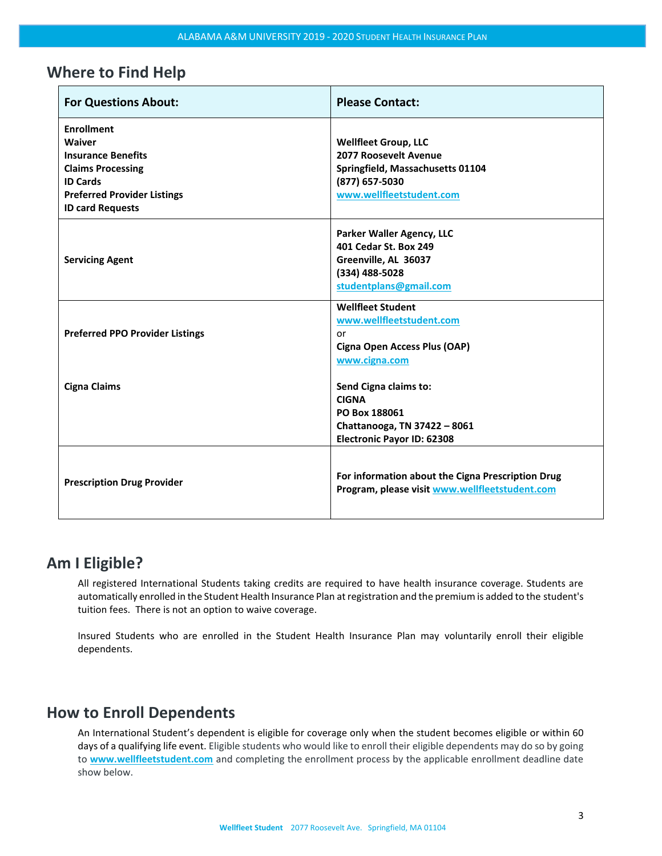## <span id="page-2-0"></span>**Where to Find Help**

| <b>For Questions About:</b>                                                                                                                                                     | <b>Please Contact:</b>                                                                                                                 |
|---------------------------------------------------------------------------------------------------------------------------------------------------------------------------------|----------------------------------------------------------------------------------------------------------------------------------------|
| <b>Enrollment</b><br><b>Waiver</b><br><b>Insurance Benefits</b><br><b>Claims Processing</b><br><b>ID Cards</b><br><b>Preferred Provider Listings</b><br><b>ID card Requests</b> | <b>Wellfleet Group, LLC</b><br>2077 Roosevelt Avenue<br>Springfield, Massachusetts 01104<br>(877) 657-5030<br>www.wellfleetstudent.com |
| <b>Servicing Agent</b>                                                                                                                                                          | Parker Waller Agency, LLC<br>401 Cedar St. Box 249<br>Greenville, AL 36037<br>(334) 488-5028<br>studentplans@gmail.com                 |
| <b>Preferred PPO Provider Listings</b>                                                                                                                                          | <b>Wellfleet Student</b><br>www.wellfleetstudent.com<br>or<br>Cigna Open Access Plus (OAP)<br>www.cigna.com                            |
| <b>Cigna Claims</b>                                                                                                                                                             | Send Cigna claims to:<br><b>CIGNA</b><br>PO Box 188061<br>Chattanooga, TN 37422 - 8061<br><b>Electronic Payor ID: 62308</b>            |
| <b>Prescription Drug Provider</b>                                                                                                                                               | For information about the Cigna Prescription Drug<br>Program, please visit www.wellfleetstudent.com                                    |

## <span id="page-2-1"></span>**Am I Eligible?**

All registered International Students taking credits are required to have health insurance coverage. Students are automatically enrolled in the Student Health Insurance Plan at registration and the premium is added to the student's tuition fees. There is not an option to waive coverage.

Insured Students who are enrolled in the Student Health Insurance Plan may voluntarily enroll their eligible dependents.

# <span id="page-2-2"></span>**How to Enroll Dependents**

An International Student's dependent is eligible for coverage only when the student becomes eligible or within 60 days of a qualifying life event. Eligible students who would like to enroll their eligible dependents may do so by going to **[www.wellfleetstudent.com](http://www.wellfleetstudent.com/)** and completing the enrollment process by the applicable enrollment deadline date show below.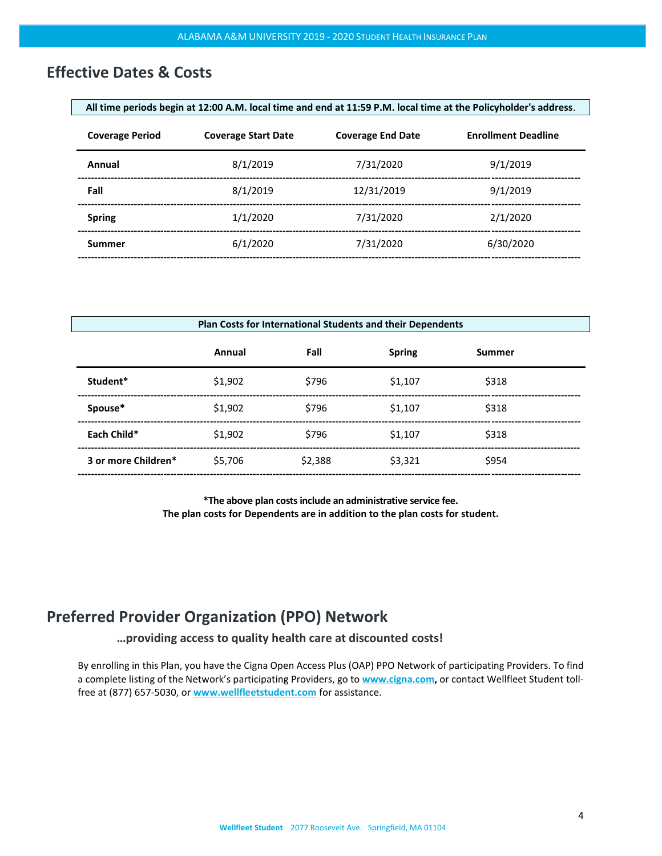# <span id="page-3-0"></span>**Effective Dates & Costs**

| All time periods begin at 12:00 A.M. local time and end at 11:59 P.M. local time at the Policyholder's address. |                            |                          |                            |
|-----------------------------------------------------------------------------------------------------------------|----------------------------|--------------------------|----------------------------|
| <b>Coverage Period</b>                                                                                          | <b>Coverage Start Date</b> | <b>Coverage End Date</b> | <b>Enrollment Deadline</b> |
| Annual                                                                                                          | 8/1/2019                   | 7/31/2020                | 9/1/2019                   |
| Fall                                                                                                            | 8/1/2019                   | 12/31/2019               | 9/1/2019                   |
| <b>Spring</b>                                                                                                   | 1/1/2020                   | 7/31/2020                | 2/1/2020                   |
| Summer                                                                                                          | 6/1/2020                   | 7/31/2020                | 6/30/2020                  |
|                                                                                                                 |                            |                          |                            |

| Plan Costs for International Students and their Dependents |         |         |               |               |  |
|------------------------------------------------------------|---------|---------|---------------|---------------|--|
|                                                            | Annual  | Fall    | <b>Spring</b> | <b>Summer</b> |  |
| Student*                                                   | \$1,902 | \$796   | \$1,107       | \$318         |  |
| Spouse*                                                    | \$1,902 | \$796   | \$1.107       | \$318         |  |
| Each Child*                                                | \$1,902 | \$796   | \$1,107       | \$318         |  |
| 3 or more Children*                                        | \$5.706 | \$2.388 | \$3,321       | \$954         |  |

**\*The above plan costsinclude an administrative service fee. The plan costs for Dependents are in addition to the plan costs for student.**

# <span id="page-3-1"></span>**Preferred Provider Organization (PPO) Network**

**…providing access to quality health care at discounted costs!**

By enrolling in this Plan, you have the Cigna Open Access Plus (OAP) PPO Network of participating Providers. To find a complete listing of the Network's participating Providers, go to **[www.cigna.com,](http://www.cigna.com/)** or contact Wellfleet Student tollfree at (877) 657-5030, or **[www.wellfleetstudent.com](http://www.chpstudenthealth.com/)** for assistance.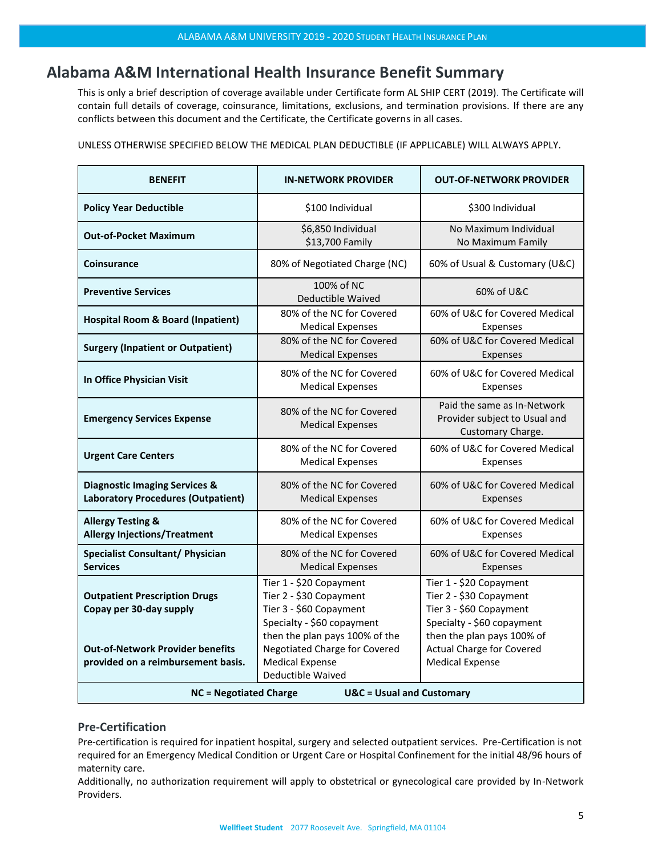# <span id="page-4-0"></span>**Alabama A&M International Health Insurance Benefit Summary**

This is only a brief description of coverage available under Certificate form AL SHIP CERT (2019). The Certificate will contain full details of coverage, coinsurance, limitations, exclusions, and termination provisions. If there are any conflicts between this document and the Certificate, the Certificate governs in all cases.

UNLESS OTHERWISE SPECIFIED BELOW THE MEDICAL PLAN DEDUCTIBLE (IF APPLICABLE) WILL ALWAYS APPLY.

| <b>BENEFIT</b>                                                                                                                                   | <b>IN-NETWORK PROVIDER</b>                                                                                                                                                                                                           | <b>OUT-OF-NETWORK PROVIDER</b>                                                                                                                                                                          |  |
|--------------------------------------------------------------------------------------------------------------------------------------------------|--------------------------------------------------------------------------------------------------------------------------------------------------------------------------------------------------------------------------------------|---------------------------------------------------------------------------------------------------------------------------------------------------------------------------------------------------------|--|
| <b>Policy Year Deductible</b>                                                                                                                    | \$100 Individual                                                                                                                                                                                                                     | \$300 Individual                                                                                                                                                                                        |  |
| <b>Out-of-Pocket Maximum</b>                                                                                                                     | \$6,850 Individual<br>\$13,700 Family                                                                                                                                                                                                | No Maximum Individual<br>No Maximum Family                                                                                                                                                              |  |
| <b>Coinsurance</b>                                                                                                                               | 80% of Negotiated Charge (NC)                                                                                                                                                                                                        | 60% of Usual & Customary (U&C)                                                                                                                                                                          |  |
| <b>Preventive Services</b>                                                                                                                       | 100% of NC<br>Deductible Waived                                                                                                                                                                                                      | 60% of U&C                                                                                                                                                                                              |  |
| <b>Hospital Room &amp; Board (Inpatient)</b>                                                                                                     | 80% of the NC for Covered<br><b>Medical Expenses</b>                                                                                                                                                                                 | 60% of U&C for Covered Medical<br>Expenses                                                                                                                                                              |  |
| <b>Surgery (Inpatient or Outpatient)</b>                                                                                                         | 80% of the NC for Covered<br><b>Medical Expenses</b>                                                                                                                                                                                 | 60% of U&C for Covered Medical<br>Expenses                                                                                                                                                              |  |
| In Office Physician Visit                                                                                                                        | 80% of the NC for Covered<br><b>Medical Expenses</b>                                                                                                                                                                                 | 60% of U&C for Covered Medical<br>Expenses                                                                                                                                                              |  |
| <b>Emergency Services Expense</b>                                                                                                                | 80% of the NC for Covered<br><b>Medical Expenses</b>                                                                                                                                                                                 | Paid the same as In-Network<br>Provider subject to Usual and<br>Customary Charge.                                                                                                                       |  |
| <b>Urgent Care Centers</b>                                                                                                                       | 80% of the NC for Covered<br><b>Medical Expenses</b>                                                                                                                                                                                 | 60% of U&C for Covered Medical<br>Expenses                                                                                                                                                              |  |
| <b>Diagnostic Imaging Services &amp;</b><br><b>Laboratory Procedures (Outpatient)</b>                                                            | 80% of the NC for Covered<br><b>Medical Expenses</b>                                                                                                                                                                                 | 60% of U&C for Covered Medical<br>Expenses                                                                                                                                                              |  |
| <b>Allergy Testing &amp;</b><br><b>Allergy Injections/Treatment</b>                                                                              | 80% of the NC for Covered<br><b>Medical Expenses</b>                                                                                                                                                                                 | 60% of U&C for Covered Medical<br>Expenses                                                                                                                                                              |  |
| <b>Specialist Consultant/ Physician</b><br><b>Services</b>                                                                                       | 80% of the NC for Covered<br><b>Medical Expenses</b>                                                                                                                                                                                 | 60% of U&C for Covered Medical<br>Expenses                                                                                                                                                              |  |
| <b>Outpatient Prescription Drugs</b><br>Copay per 30-day supply<br><b>Out-of-Network Provider benefits</b><br>provided on a reimbursement basis. | Tier 1 - \$20 Copayment<br>Tier 2 - \$30 Copayment<br>Tier 3 - \$60 Copayment<br>Specialty - \$60 copayment<br>then the plan pays 100% of the<br><b>Negotiated Charge for Covered</b><br><b>Medical Expense</b><br>Deductible Waived | Tier 1 - \$20 Copayment<br>Tier 2 - \$30 Copayment<br>Tier 3 - \$60 Copayment<br>Specialty - \$60 copayment<br>then the plan pays 100% of<br><b>Actual Charge for Covered</b><br><b>Medical Expense</b> |  |
| <b>NC = Negotiated Charge</b><br><b>U&amp;C</b> = Usual and Customary                                                                            |                                                                                                                                                                                                                                      |                                                                                                                                                                                                         |  |

### <span id="page-4-1"></span>**Pre-Certification**

Pre-certification is required for inpatient hospital, surgery and selected outpatient services. Pre-Certification is not required for an Emergency Medical Condition or Urgent Care or Hospital Confinement for the initial 48/96 hours of maternity care.

Additionally, no authorization requirement will apply to obstetrical or gynecological care provided by In-Network Providers.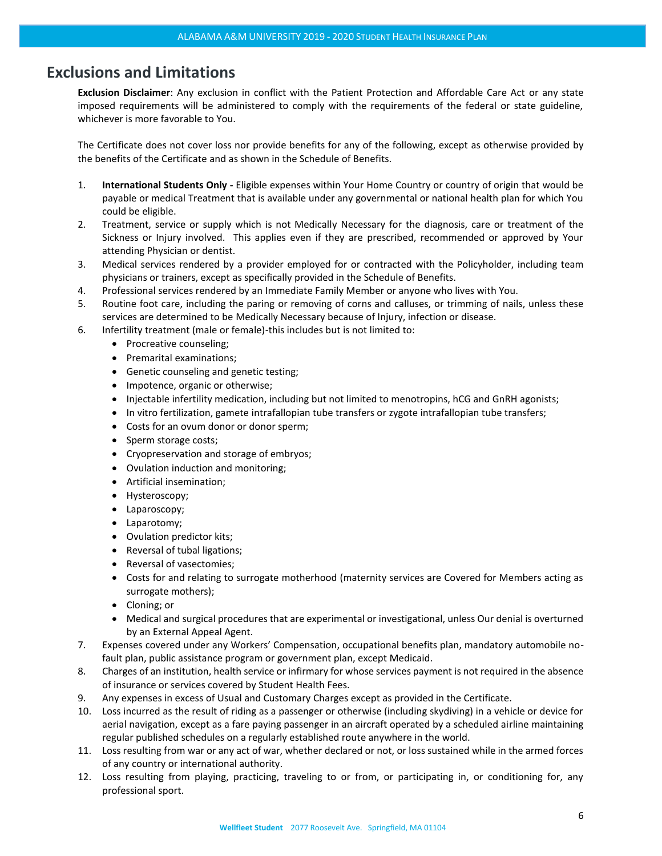# <span id="page-5-0"></span>**Exclusions and Limitations**

**Exclusion Disclaimer**: Any exclusion in conflict with the Patient Protection and Affordable Care Act or any state imposed requirements will be administered to comply with the requirements of the federal or state guideline, whichever is more favorable to You.

The Certificate does not cover loss nor provide benefits for any of the following, except as otherwise provided by the benefits of the Certificate and as shown in the Schedule of Benefits.

- 1. **International Students Only -** Eligible expenses within Your Home Country or country of origin that would be payable or medical Treatment that is available under any governmental or national health plan for which You could be eligible.
- 2. Treatment, service or supply which is not Medically Necessary for the diagnosis, care or treatment of the Sickness or Injury involved. This applies even if they are prescribed, recommended or approved by Your attending Physician or dentist.
- 3. Medical services rendered by a provider employed for or contracted with the Policyholder, including team physicians or trainers, except as specifically provided in the Schedule of Benefits.
- 4. Professional services rendered by an Immediate Family Member or anyone who lives with You.
- 5. Routine foot care, including the paring or removing of corns and calluses, or trimming of nails, unless these services are determined to be Medically Necessary because of Injury, infection or disease.
- 6. Infertility treatment (male or female)-this includes but is not limited to:
	- Procreative counseling;
	- Premarital examinations;
	- Genetic counseling and genetic testing;
	- Impotence, organic or otherwise;
	- Injectable infertility medication, including but not limited to menotropins, hCG and GnRH agonists;
	- In vitro fertilization, gamete intrafallopian tube transfers or zygote intrafallopian tube transfers;
	- Costs for an ovum donor or donor sperm;
	- Sperm storage costs;
	- Cryopreservation and storage of embryos;
	- Ovulation induction and monitoring;
	- Artificial insemination;
	- Hysteroscopy;
	- Laparoscopy;
	- Laparotomy;
	- Ovulation predictor kits;
	- Reversal of tubal ligations;
	- Reversal of vasectomies;
	- Costs for and relating to surrogate motherhood (maternity services are Covered for Members acting as surrogate mothers);
	- Cloning; or
	- Medical and surgical procedures that are experimental or investigational, unless Our denial is overturned by an External Appeal Agent.
- 7. Expenses covered under any Workers' Compensation, occupational benefits plan, mandatory automobile nofault plan, public assistance program or government plan, except Medicaid.
- 8. Charges of an institution, health service or infirmary for whose services payment is not required in the absence of insurance or services covered by Student Health Fees.
- 9. Any expenses in excess of Usual and Customary Charges except as provided in the Certificate.
- 10. Loss incurred as the result of riding as a passenger or otherwise (including skydiving) in a vehicle or device for aerial navigation, except as a fare paying passenger in an aircraft operated by a scheduled airline maintaining regular published schedules on a regularly established route anywhere in the world.
- 11. Loss resulting from war or any act of war, whether declared or not, or loss sustained while in the armed forces of any country or international authority.
- 12. Loss resulting from playing, practicing, traveling to or from, or participating in, or conditioning for, any professional sport.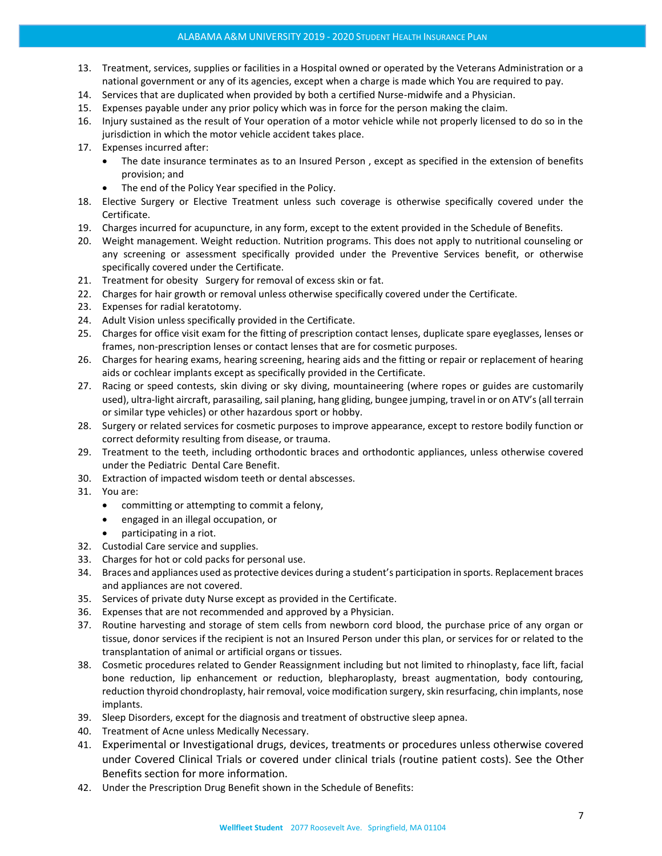- 13. Treatment, services, supplies or facilities in a Hospital owned or operated by the Veterans Administration or a national government or any of its agencies, except when a charge is made which You are required to pay.
- 14. Services that are duplicated when provided by both a certified Nurse-midwife and a Physician.
- 15. Expenses payable under any prior policy which was in force for the person making the claim.
- 16. Injury sustained as the result of Your operation of a motor vehicle while not properly licensed to do so in the jurisdiction in which the motor vehicle accident takes place.
- 17. Expenses incurred after:
	- The date insurance terminates as to an Insured Person , except as specified in the extension of benefits provision; and
	- The end of the Policy Year specified in the Policy.
- 18. Elective Surgery or Elective Treatment unless such coverage is otherwise specifically covered under the Certificate.
- 19. Charges incurred for acupuncture, in any form, except to the extent provided in the Schedule of Benefits.
- 20. Weight management. Weight reduction. Nutrition programs. This does not apply to nutritional counseling or any screening or assessment specifically provided under the Preventive Services benefit, or otherwise specifically covered under the Certificate.
- 21. Treatment for obesity Surgery for removal of excess skin or fat.
- 22. Charges for hair growth or removal unless otherwise specifically covered under the Certificate.
- 23. Expenses for radial keratotomy.
- 24. Adult Vision unless specifically provided in the Certificate.
- 25. Charges for office visit exam for the fitting of prescription contact lenses, duplicate spare eyeglasses, lenses or frames, non-prescription lenses or contact lenses that are for cosmetic purposes.
- 26. Charges for hearing exams, hearing screening, hearing aids and the fitting or repair or replacement of hearing aids or cochlear implants except as specifically provided in the Certificate.
- 27. Racing or speed contests, skin diving or sky diving, mountaineering (where ropes or guides are customarily used), ultra-light aircraft, parasailing, sail planing, hang gliding, bungee jumping, travel in or on ATV's (all terrain or similar type vehicles) or other hazardous sport or hobby.
- 28. Surgery or related services for cosmetic purposes to improve appearance, except to restore bodily function or correct deformity resulting from disease, or trauma.
- 29. Treatment to the teeth, including orthodontic braces and orthodontic appliances, unless otherwise covered under the Pediatric Dental Care Benefit.
- 30. Extraction of impacted wisdom teeth or dental abscesses.
- 31. You are:
	- committing or attempting to commit a felony,
	- engaged in an illegal occupation, or
	- participating in a riot.
- 32. Custodial Care service and supplies.
- 33. Charges for hot or cold packs for personal use.
- 34. Braces and appliances used as protective devices during a student's participation in sports. Replacement braces and appliances are not covered.
- 35. Services of private duty Nurse except as provided in the Certificate.
- 36. Expenses that are not recommended and approved by a Physician.
- 37. Routine harvesting and storage of stem cells from newborn cord blood, the purchase price of any organ or tissue, donor services if the recipient is not an Insured Person under this plan, or services for or related to the transplantation of animal or artificial organs or tissues.
- 38. Cosmetic procedures related to Gender Reassignment including but not limited to rhinoplasty, face lift, facial bone reduction, lip enhancement or reduction, blepharoplasty, breast augmentation, body contouring, reduction thyroid chondroplasty, hair removal, voice modification surgery, skin resurfacing, chin implants, nose implants.
- 39. Sleep Disorders, except for the diagnosis and treatment of obstructive sleep apnea.
- 40. Treatment of Acne unless Medically Necessary.
- 41. Experimental or Investigational drugs, devices, treatments or procedures unless otherwise covered under Covered Clinical Trials or covered under clinical trials (routine patient costs). See the Other Benefits section for more information.
- 42. Under the Prescription Drug Benefit shown in the Schedule of Benefits: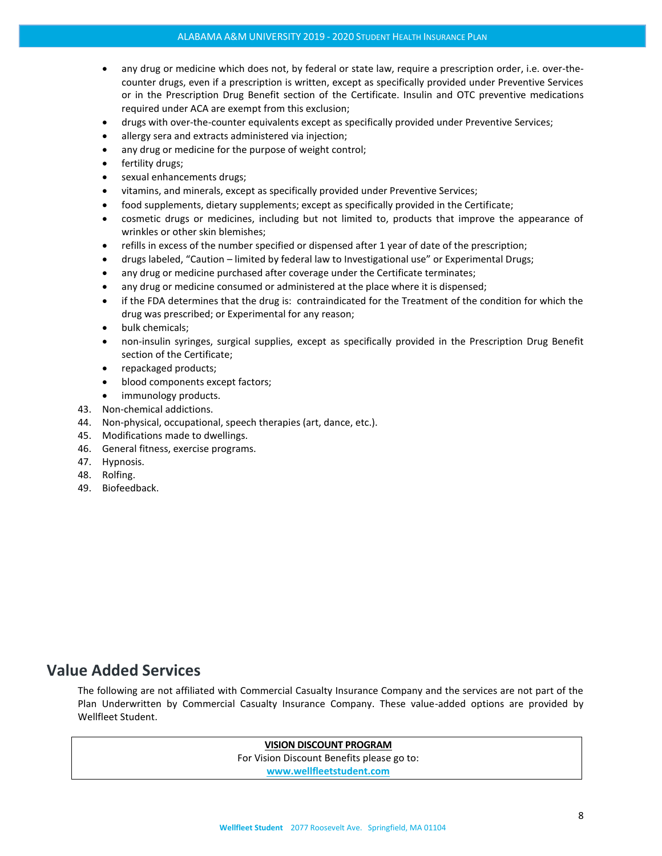- any drug or medicine which does not, by federal or state law, require a prescription order, i.e. over-thecounter drugs, even if a prescription is written, except as specifically provided under Preventive Services or in the Prescription Drug Benefit section of the Certificate. Insulin and OTC preventive medications required under ACA are exempt from this exclusion;
- drugs with over-the-counter equivalents except as specifically provided under Preventive Services;
- allergy sera and extracts administered via injection;
- any drug or medicine for the purpose of weight control;
- fertility drugs;
- sexual enhancements drugs;
- vitamins, and minerals, except as specifically provided under Preventive Services;
- food supplements, dietary supplements; except as specifically provided in the Certificate;
- cosmetic drugs or medicines, including but not limited to, products that improve the appearance of wrinkles or other skin blemishes;
- refills in excess of the number specified or dispensed after 1 year of date of the prescription;
- drugs labeled, "Caution limited by federal law to Investigational use" or Experimental Drugs;
- any drug or medicine purchased after coverage under the Certificate terminates;
- any drug or medicine consumed or administered at the place where it is dispensed;
- if the FDA determines that the drug is: contraindicated for the Treatment of the condition for which the drug was prescribed; or Experimental for any reason;
- bulk chemicals;
- non-insulin syringes, surgical supplies, except as specifically provided in the Prescription Drug Benefit section of the Certificate;
- repackaged products;
- blood components except factors;
- immunology products.
- 43. Non-chemical addictions.
- 44. Non-physical, occupational, speech therapies (art, dance, etc.).
- 45. Modifications made to dwellings.
- 46. General fitness, exercise programs.
- 47. Hypnosis.
- 48. Rolfing.
- 49. Biofeedback.

## <span id="page-7-0"></span>**Value Added Services**

The following are not affiliated with Commercial Casualty Insurance Company and the services are not part of the Plan Underwritten by Commercial Casualty Insurance Company. These value-added options are provided by Wellfleet Student.

## **VISION DISCOUNT PROGRAM**

For Vision Discount Benefits please go to:

**[www.wellfleetstudent.com](http://www.chpstudenthealth.com/)**